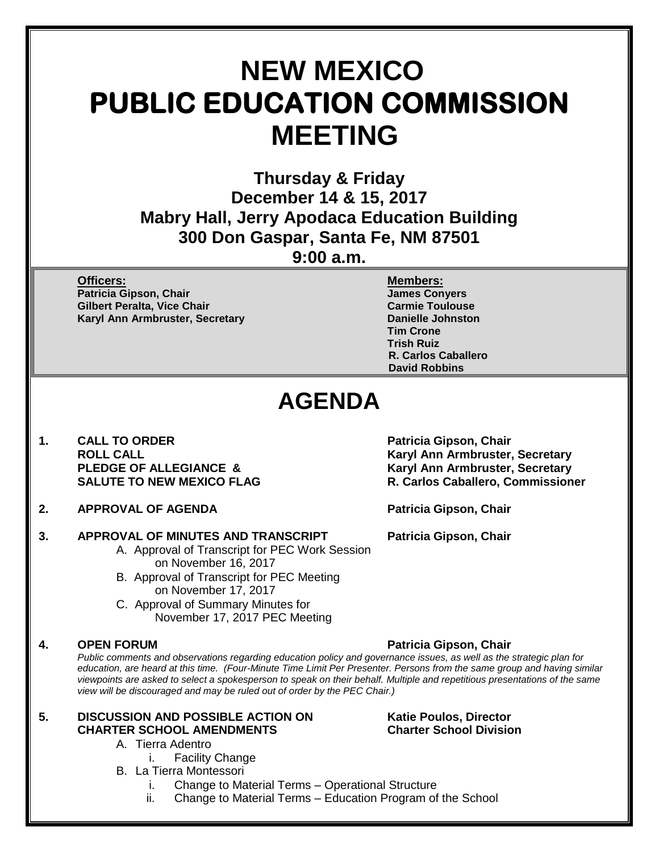# **NEW MEXICO PUBLIC EDUCATION COMMISSION MEETING**

**Thursday & Friday December 14 & 15, 2017 Mabry Hall, Jerry Apodaca Education Building 300 Don Gaspar, Santa Fe, NM 87501 9:00 a.m.**

**Officers: Members:**

**Patricia Gipson, Chair James Conyers Gilbert Peralta, Vice Chair Carmie Toulouse** Carmie Toulouse **Karyl Ann Armbruster, Secretary <b>Danielle Johnston** 

**Tim Crone Trish Ruiz R. Carlos Caballero David Robbins**

## **AGENDA**

- **1. CALL TO ORDER Patricia Gipson, Chair**
- **2. APPROVAL OF AGENDA Patricia Gipson, Chair**

#### **3. APPROVAL OF MINUTES AND TRANSCRIPT Patricia Gipson, Chair**

- A. Approval of Transcript for PEC Work Session on November 16, 2017
- B. Approval of Transcript for PEC Meeting on November 17, 2017
- C. Approval of Summary Minutes for November 17, 2017 PEC Meeting

**ROLL CALL Karyl Ann Armbruster, Secretary PLEDGE OF ALLEGIANCE & Karyl Ann Armbruster, Secretary SALUTE TO NEW MEXICO FLAG R. Carlos Caballero, Commissioner**

### **4. OPEN FORUM Patricia Gipson, Chair**

*Public comments and observations regarding education policy and governance issues, as well as the strategic plan for education, are heard at this time. (Four-Minute Time Limit Per Presenter. Persons from the same group and having similar viewpoints are asked to select a spokesperson to speak on their behalf. Multiple and repetitious presentations of the same view will be discouraged and may be ruled out of order by the PEC Chair.)*

### **5. DISCUSSION AND POSSIBLE ACTION ON Katie Poulos, Director CHARTER SCHOOL AMENDMENTS Charter School Division**

### A. Tierra Adentro

- i. Facility Change
- B. La Tierra Montessori
	- i. Change to Material Terms Operational Structure
	- ii. Change to Material Terms Education Program of the School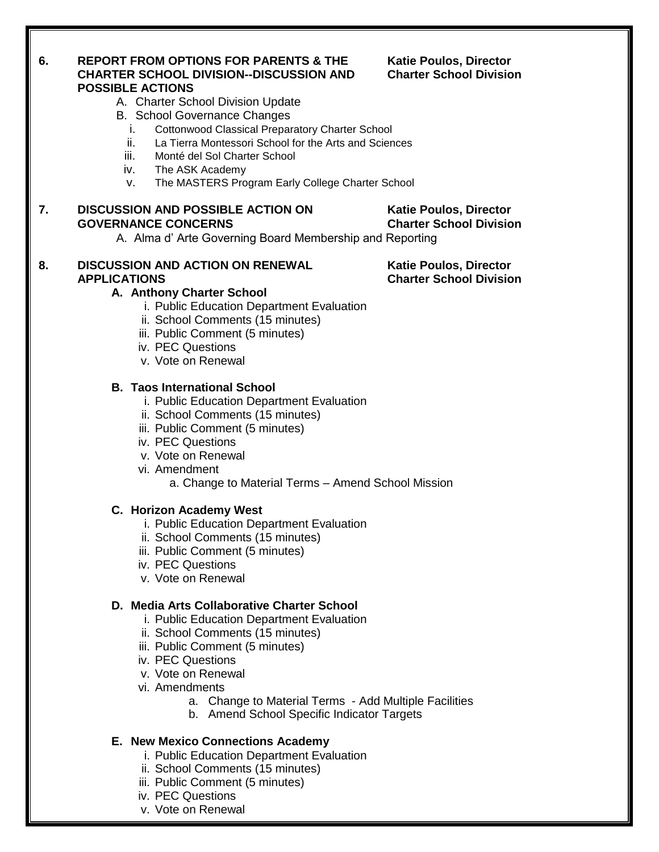#### **6. REPORT FROM OPTIONS FOR PARENTS & THE Katie Poulos, Director CHARTER SCHOOL DIVISION--DISCUSSION AND Charter School Division POSSIBLE ACTIONS**

- A. Charter School Division Update
- B. School Governance Changes
	- i. Cottonwood Classical Preparatory Charter School
	- ii. La Tierra Montessori School for the Arts and Sciences
	- iii. Monté del Sol Charter School
	- iv. The ASK Academy
	- v. The MASTERS Program Early College Charter School

### **7. DISCUSSION AND POSSIBLE ACTION ON Katie Poulos, Director GOVERNANCE CONCERNS Charter School Division**

A. Alma d' Arte Governing Board Membership and Reporting

#### 8. **DISCUSSION AND ACTION ON RENEWAL Katie Poulos, Director APPLICATIONS Charter School Division**

#### **A. Anthony Charter School**

- i. Public Education Department Evaluation
- ii. School Comments (15 minutes)
- iii. Public Comment (5 minutes)
- iv. PEC Questions
- v. Vote on Renewal

#### **B. Taos International School**

- i. Public Education Department Evaluation
- ii. School Comments (15 minutes)
- iii. Public Comment (5 minutes)
- iv. PEC Questions
- v. Vote on Renewal
- vi. Amendment
	- a. Change to Material Terms Amend School Mission

#### **C. Horizon Academy West**

- i. Public Education Department Evaluation
- ii. School Comments (15 minutes)
- iii. Public Comment (5 minutes)
- iv. PEC Questions
- v. Vote on Renewal

#### **D. Media Arts Collaborative Charter School**

- i. Public Education Department Evaluation
- ii. School Comments (15 minutes)
- iii. Public Comment (5 minutes)
- iv. PEC Questions
- v. Vote on Renewal
- vi. Amendments
	- a. Change to Material Terms Add Multiple Facilities
	- b. Amend School Specific Indicator Targets

#### **E. New Mexico Connections Academy**

- i. Public Education Department Evaluation
- ii. School Comments (15 minutes)
- iii. Public Comment (5 minutes)
- iv. PEC Questions
- v. Vote on Renewal